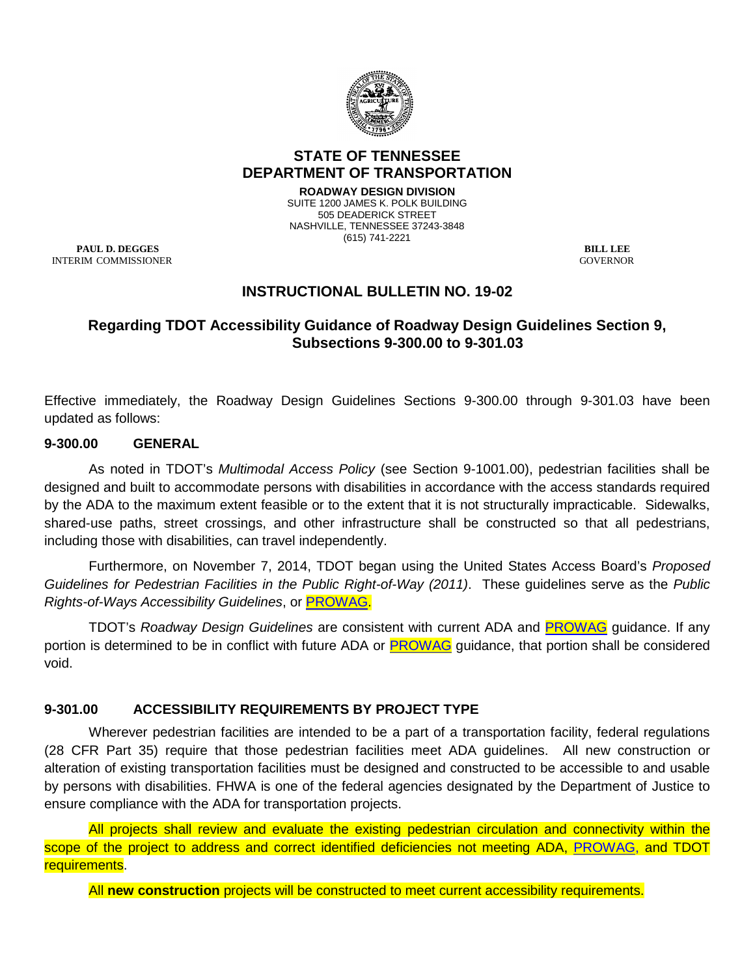

## **STATE OF TENNESSEE DEPARTMENT OF TRANSPORTATION**

**ROADWAY DESIGN DIVISION** SUITE 1200 JAMES K. POLK BUILDING 505 DEADERICK STREET NASHVILLE, TENNESSEE 37243-3848 (615) 741-2221

**PAUL D. DEGGES** BILL LEE INTERIM COMMISSIONER GOVERNOR

# **INSTRUCTIONAL BULLETIN NO. 19-02**

## **Regarding TDOT Accessibility Guidance of Roadway Design Guidelines Section 9, Subsections 9-300.00 to 9-301.03**

Effective immediately, the Roadway Design Guidelines Sections 9-300.00 through 9-301.03 have been updated as follows:

### **9-300.00 GENERAL**

As noted in TDOT's *Multimodal Access Policy* (see Section 9-1001.00), pedestrian facilities shall be designed and built to accommodate persons with disabilities in accordance with the access standards required by the ADA to the maximum extent feasible or to the extent that it is not structurally impracticable. Sidewalks, shared-use paths, street crossings, and other infrastructure shall be constructed so that all pedestrians, including those with disabilities, can travel independently.

Furthermore, on November 7, 2014, TDOT began using the United States Access Board's *Proposed Guidelines for Pedestrian Facilities in the Public Right-of-Way (2011)*. These guidelines serve as the *Public Rights-of-Ways Accessibility Guidelines*, or [PROWAG.](https://www.access-board.gov/attachments/article/743/nprm.pdf)

TDOT's *Roadway Design Guidelines* are consistent with current ADA and [PROWAG](https://www.access-board.gov/attachments/article/743/nprm.pdf) guidance. If any portion is determined to be in conflict with future ADA or [PROWAG](https://www.access-board.gov/attachments/article/743/nprm.pdf) guidance, that portion shall be considered void.

## **9-301.00 ACCESSIBILITY REQUIREMENTS BY PROJECT TYPE**

Wherever pedestrian facilities are intended to be a part of a transportation facility, federal regulations (28 CFR Part 35) require that those pedestrian facilities meet ADA guidelines. All new construction or alteration of existing transportation facilities must be designed and constructed to be accessible to and usable by persons with disabilities. FHWA is one of the federal agencies designated by the Department of Justice to ensure compliance with the ADA for transportation projects.

All projects shall review and evaluate the existing pedestrian circulation and connectivity within the scope of the project to address and correct identified deficiencies not meeting ADA, [PROWAG,](https://www.access-board.gov/attachments/article/743/nprm.pdf) and TDOT requirements.

All **new construction** projects will be constructed to meet current accessibility requirements.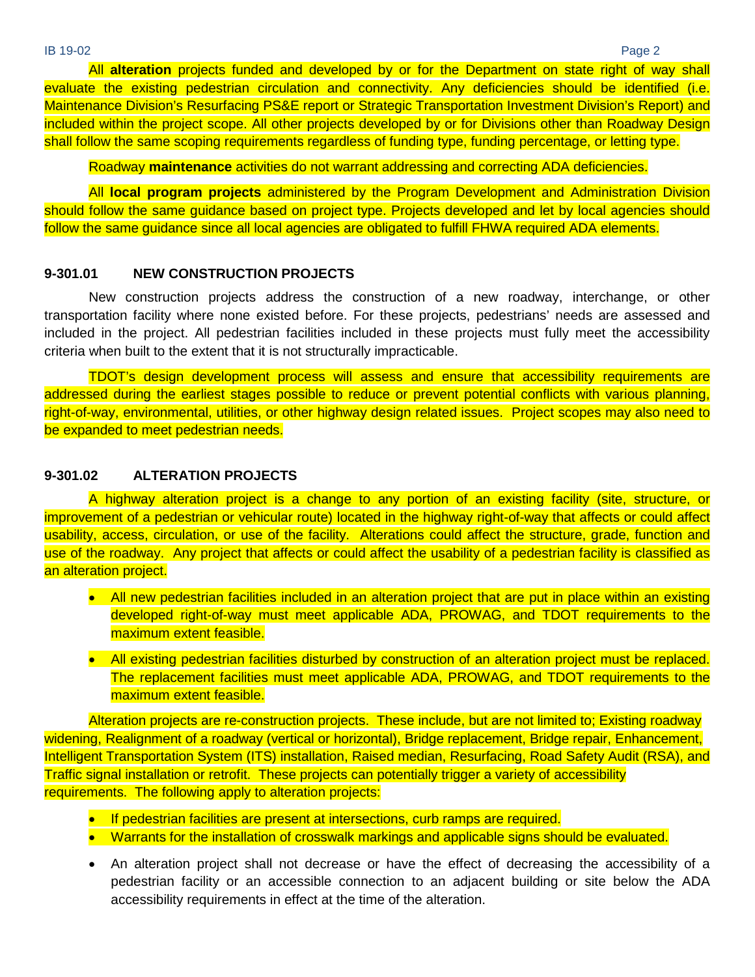All **alteration** projects funded and developed by or for the Department on state right of way shall evaluate the existing pedestrian circulation and connectivity. Any deficiencies should be identified (i.e. Maintenance Division's Resurfacing PS&E report or Strategic Transportation Investment Division's Report) and included within the project scope. All other projects developed by or for Divisions other than Roadway Design shall follow the same scoping requirements regardless of funding type, funding percentage, or letting type.

Roadway **maintenance** activities do not warrant addressing and correcting ADA deficiencies.

All **local program projects** administered by the Program Development and Administration Division should follow the same guidance based on project type. Projects developed and let by local agencies should follow the same guidance since all local agencies are obligated to fulfill FHWA required ADA elements.

#### **9-301.01 NEW CONSTRUCTION PROJECTS**

New construction projects address the construction of a new roadway, interchange, or other transportation facility where none existed before. For these projects, pedestrians' needs are assessed and included in the project. All pedestrian facilities included in these projects must fully meet the accessibility criteria when built to the extent that it is not structurally impracticable.

TDOT's design development process will assess and ensure that accessibility requirements are addressed during the earliest stages possible to reduce or prevent potential conflicts with various planning, right-of-way, environmental, utilities, or other highway design related issues. Project scopes may also need to be expanded to meet pedestrian needs.

### **9-301.02 ALTERATION PROJECTS**

A highway alteration project is a change to any portion of an existing facility (site, structure, or improvement of a pedestrian or vehicular route) located in the highway right-of-way that affects or could affect usability, access, circulation, or use of the facility. Alterations could affect the structure, grade, function and use of the roadway. Any project that affects or could affect the usability of a pedestrian facility is classified as an alteration project.

- All new pedestrian facilities included in an alteration project that are put in place within an existing developed right-of-way must meet applicable ADA, PROWAG, and TDOT requirements to the maximum extent feasible.
- All existing pedestrian facilities disturbed by construction of an alteration project must be replaced. The replacement facilities must meet applicable ADA, PROWAG, and TDOT requirements to the maximum extent feasible.

Alteration projects are re-construction projects. These include, but are not limited to; Existing roadway widening, Realignment of a roadway (vertical or horizontal), Bridge replacement, Bridge repair, [Enhancement,](https://www.fhwa.dot.gov/Environment/transportation_enhancements/) Intelligent Transportation System (ITS) installation, Raised median, Resurfacing, Road Safety Audit (RSA), and Traffic signal installation or retrofit. These projects can potentially trigger a variety of accessibility requirements. The following apply to alteration projects:

- If pedestrian facilities are present at intersections, curb ramps are required.
- Warrants for the installation of crosswalk markings and applicable signs should be evaluated.
- An alteration project shall not decrease or have the effect of decreasing the accessibility of a pedestrian facility or an accessible connection to an adjacent building or site below the ADA accessibility requirements in effect at the time of the alteration.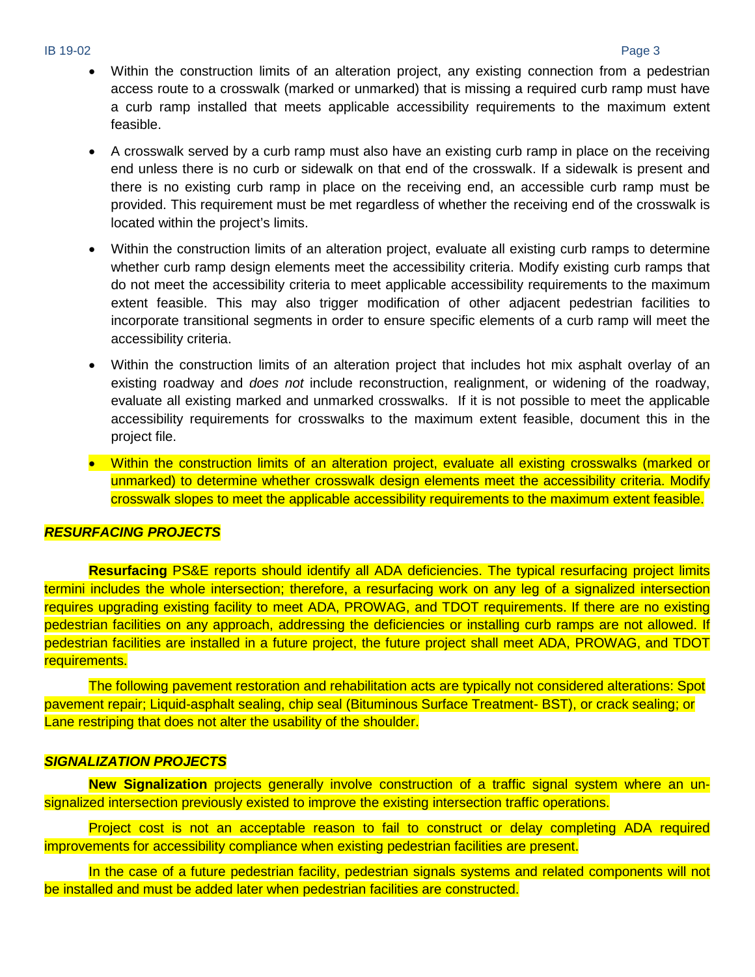IB 19-02 Page 3

- Within the construction limits of an alteration project, any existing connection from a pedestrian access route to a crosswalk (marked or unmarked) that is missing a required curb ramp must have a curb ramp installed that meets applicable accessibility requirements to the maximum extent feasible.
- A crosswalk served by a curb ramp must also have an existing curb ramp in place on the receiving end unless there is no curb or sidewalk on that end of the crosswalk. If a sidewalk is present and there is no existing curb ramp in place on the receiving end, an accessible curb ramp must be provided. This requirement must be met regardless of whether the receiving end of the crosswalk is located within the project's limits.
- Within the construction limits of an alteration project, evaluate all existing curb ramps to determine whether curb ramp design elements meet the accessibility criteria. Modify existing curb ramps that do not meet the accessibility criteria to meet applicable accessibility requirements to the maximum extent feasible. This may also trigger modification of other adjacent pedestrian facilities to incorporate transitional segments in order to ensure specific elements of a curb ramp will meet the accessibility criteria.
- Within the construction limits of an alteration project that includes hot mix asphalt overlay of an existing roadway and *does not* include reconstruction, realignment, or widening of the roadway, evaluate all existing marked and unmarked crosswalks. If it is not possible to meet the applicable accessibility requirements for crosswalks to the maximum extent feasible, document this in the project file.
- Within the construction limits of an alteration project, evaluate all existing crosswalks (marked or unmarked) to determine whether crosswalk design elements meet the accessibility criteria. Modify crosswalk slopes to meet the applicable accessibility requirements to the maximum extent feasible.

### *RESURFACING PROJECTS*

**Resurfacing** PS&E reports should identify all ADA deficiencies. The typical resurfacing project limits termini includes the whole intersection; therefore, a resurfacing work on any leg of a signalized intersection requires upgrading existing facility to meet ADA, [PROWAG,](https://www.access-board.gov/attachments/article/743/nprm.pdf) and TDOT requirements. If there are no existing pedestrian facilities on any approach, addressing the deficiencies or installing curb ramps are not allowed. If pedestrian facilities are installed in a future project, the future project shall meet ADA, PROWAG, and TDOT requirements.

The following pavement restoration and rehabilitation acts are typically not considered alterations: Spot pavement repair; Liquid-asphalt sealing, chip seal (Bituminous Surface Treatment- BST), or crack sealing; or Lane restriping that does not alter the usability of the shoulder.

#### *SIGNALIZATION PROJECTS*

**New Signalization** projects generally involve construction of a traffic signal system where an unsignalized intersection previously existed to improve the existing intersection traffic operations.

Project cost is not an acceptable reason to fail to construct or delay completing ADA required improvements for accessibility compliance when existing pedestrian facilities are present.

In the case of a future pedestrian facility, pedestrian signals systems and related components will not be installed and must be added later when pedestrian facilities are constructed.